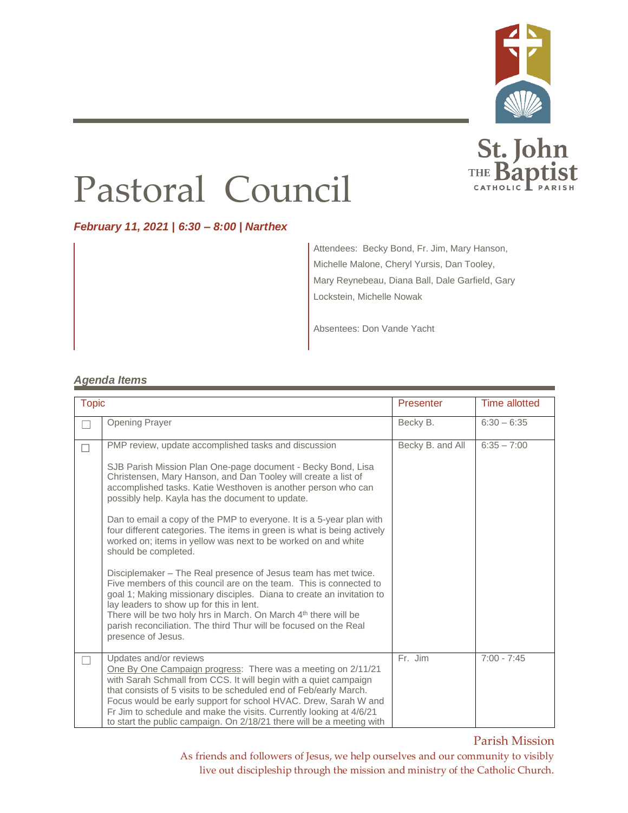

St. John

## Pastoral Council

*February 11, 2021 | 6:30 – 8:00 | Narthex*

Attendees: Becky Bond, Fr. Jim, Mary Hanson, Michelle Malone, Cheryl Yursis, Dan Tooley, Mary Reynebeau, Diana Ball, Dale Garfield, Gary Lockstein, Michelle Nowak

Absentees: Don Vande Yacht

## *Agenda Items*

| <b>Topic</b> |                                                                                                                                                                                                                                                                                                                                                                                                                                                                                                                                                                                                                                                                                                                                                                                                                                                                                                                                                                                                | Presenter        | <b>Time allotted</b> |
|--------------|------------------------------------------------------------------------------------------------------------------------------------------------------------------------------------------------------------------------------------------------------------------------------------------------------------------------------------------------------------------------------------------------------------------------------------------------------------------------------------------------------------------------------------------------------------------------------------------------------------------------------------------------------------------------------------------------------------------------------------------------------------------------------------------------------------------------------------------------------------------------------------------------------------------------------------------------------------------------------------------------|------------------|----------------------|
|              | <b>Opening Prayer</b>                                                                                                                                                                                                                                                                                                                                                                                                                                                                                                                                                                                                                                                                                                                                                                                                                                                                                                                                                                          | Becky B.         | $6:30 - 6:35$        |
|              | PMP review, update accomplished tasks and discussion<br>SJB Parish Mission Plan One-page document - Becky Bond, Lisa<br>Christensen, Mary Hanson, and Dan Tooley will create a list of<br>accomplished tasks. Katie Westhoven is another person who can<br>possibly help. Kayla has the document to update.<br>Dan to email a copy of the PMP to everyone. It is a 5-year plan with<br>four different categories. The items in green is what is being actively<br>worked on; items in yellow was next to be worked on and white<br>should be completed.<br>Disciplemaker - The Real presence of Jesus team has met twice.<br>Five members of this council are on the team. This is connected to<br>goal 1; Making missionary disciples. Diana to create an invitation to<br>lay leaders to show up for this in lent.<br>There will be two holy hrs in March. On March 4 <sup>th</sup> there will be<br>parish reconciliation. The third Thur will be focused on the Real<br>presence of Jesus. | Becky B. and All | $6:35 - 7:00$        |
|              | Updates and/or reviews<br>One By One Campaign progress: There was a meeting on 2/11/21<br>with Sarah Schmall from CCS. It will begin with a quiet campaign<br>that consists of 5 visits to be scheduled end of Feb/early March.<br>Focus would be early support for school HVAC. Drew, Sarah W and<br>Fr Jim to schedule and make the visits. Currently looking at 4/6/21<br>to start the public campaign. On 2/18/21 there will be a meeting with                                                                                                                                                                                                                                                                                                                                                                                                                                                                                                                                             | Fr. Jim          | $7:00 - 7:45$        |

Parish Mission

As friends and followers of Jesus, we help ourselves and our community to visibly live out discipleship through the mission and ministry of the Catholic Church.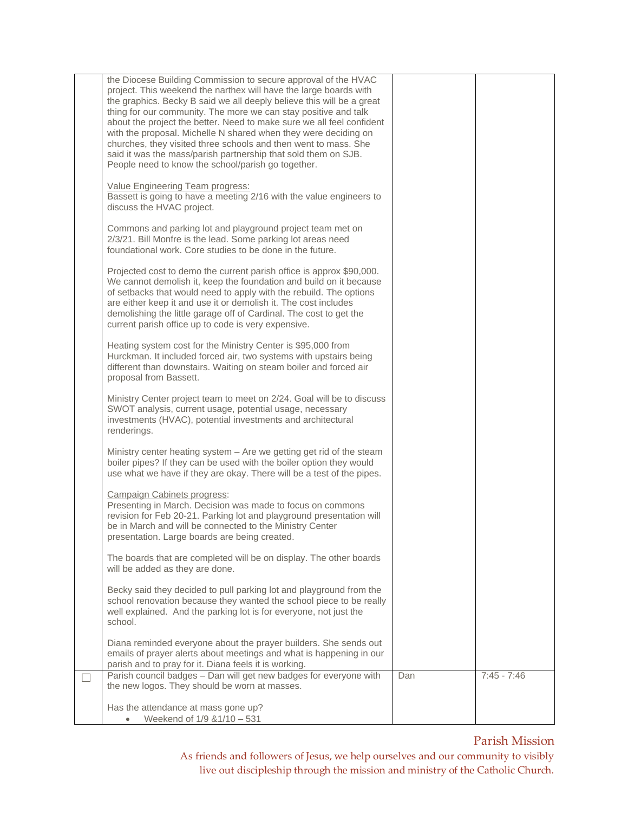| the Diocese Building Commission to secure approval of the HVAC                                                                                                                                                                                                                                                                                                                                                   |     |               |
|------------------------------------------------------------------------------------------------------------------------------------------------------------------------------------------------------------------------------------------------------------------------------------------------------------------------------------------------------------------------------------------------------------------|-----|---------------|
| project. This weekend the narthex will have the large boards with<br>the graphics. Becky B said we all deeply believe this will be a great<br>thing for our community. The more we can stay positive and talk<br>about the project the better. Need to make sure we all feel confident<br>with the proposal. Michelle N shared when they were deciding on                                                        |     |               |
| churches, they visited three schools and then went to mass. She<br>said it was the mass/parish partnership that sold them on SJB.<br>People need to know the school/parish go together.                                                                                                                                                                                                                          |     |               |
| Value Engineering Team progress:<br>Bassett is going to have a meeting 2/16 with the value engineers to<br>discuss the HVAC project.                                                                                                                                                                                                                                                                             |     |               |
| Commons and parking lot and playground project team met on<br>2/3/21. Bill Monfre is the lead. Some parking lot areas need<br>foundational work. Core studies to be done in the future.                                                                                                                                                                                                                          |     |               |
| Projected cost to demo the current parish office is approx \$90,000.<br>We cannot demolish it, keep the foundation and build on it because<br>of setbacks that would need to apply with the rebuild. The options<br>are either keep it and use it or demolish it. The cost includes<br>demolishing the little garage off of Cardinal. The cost to get the<br>current parish office up to code is very expensive. |     |               |
| Heating system cost for the Ministry Center is \$95,000 from<br>Hurckman. It included forced air, two systems with upstairs being<br>different than downstairs. Waiting on steam boiler and forced air<br>proposal from Bassett.                                                                                                                                                                                 |     |               |
| Ministry Center project team to meet on 2/24. Goal will be to discuss<br>SWOT analysis, current usage, potential usage, necessary<br>investments (HVAC), potential investments and architectural<br>renderings.                                                                                                                                                                                                  |     |               |
| Ministry center heating system – Are we getting get rid of the steam<br>boiler pipes? If they can be used with the boiler option they would<br>use what we have if they are okay. There will be a test of the pipes.                                                                                                                                                                                             |     |               |
| <b>Campaign Cabinets progress:</b><br>Presenting in March. Decision was made to focus on commons<br>revision for Feb 20-21. Parking lot and playground presentation will<br>be in March and will be connected to the Ministry Center<br>presentation. Large boards are being created.                                                                                                                            |     |               |
| The boards that are completed will be on display. The other boards<br>will be added as they are done.                                                                                                                                                                                                                                                                                                            |     |               |
| Becky said they decided to pull parking lot and playground from the<br>school renovation because they wanted the school piece to be really<br>well explained. And the parking lot is for everyone, not just the<br>school.                                                                                                                                                                                       |     |               |
| Diana reminded everyone about the prayer builders. She sends out<br>emails of prayer alerts about meetings and what is happening in our<br>parish and to pray for it. Diana feels it is working.                                                                                                                                                                                                                 |     |               |
| Parish council badges - Dan will get new badges for everyone with<br>the new logos. They should be worn at masses.                                                                                                                                                                                                                                                                                               | Dan | $7:45 - 7:46$ |
| Has the attendance at mass gone up?<br>Weekend of 1/9 & 1/10 - 531                                                                                                                                                                                                                                                                                                                                               |     |               |

## Parish Mission

As friends and followers of Jesus, we help ourselves and our community to visibly live out discipleship through the mission and ministry of the Catholic Church.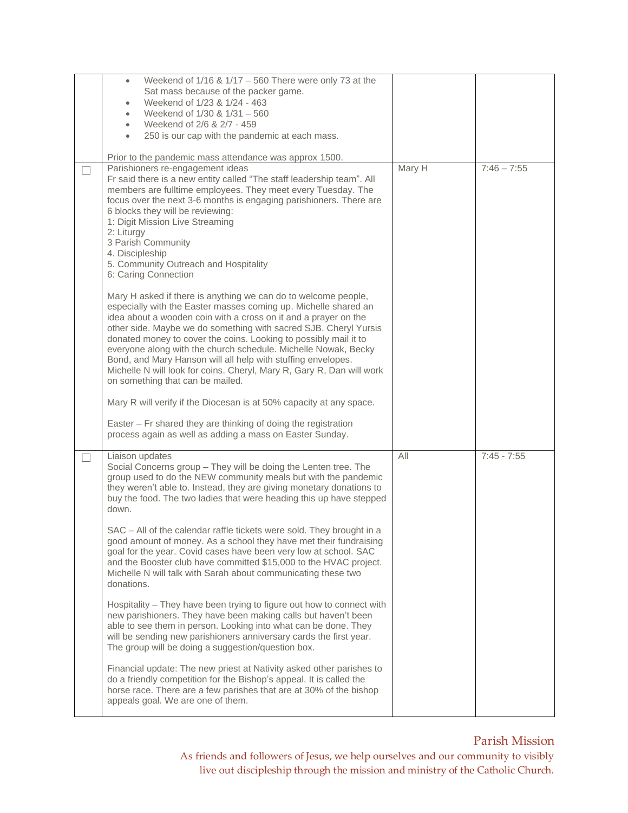| Weekend of $1/16$ & $1/17 - 560$ There were only 73 at the<br>$\bullet$                                                  |        |               |
|--------------------------------------------------------------------------------------------------------------------------|--------|---------------|
| Sat mass because of the packer game.                                                                                     |        |               |
| Weekend of 1/23 & 1/24 - 463                                                                                             |        |               |
| Weekend of 1/30 & 1/31 - 560                                                                                             |        |               |
| Weekend of 2/6 & 2/7 - 459                                                                                               |        |               |
| 250 is our cap with the pandemic at each mass.<br>$\bullet$                                                              |        |               |
|                                                                                                                          |        |               |
| Prior to the pandemic mass attendance was approx 1500.                                                                   |        |               |
| Parishioners re-engagement ideas<br>Fr said there is a new entity called "The staff leadership team". All                | Mary H | $7:46 - 7:55$ |
| members are fulltime employees. They meet every Tuesday. The                                                             |        |               |
| focus over the next 3-6 months is engaging parishioners. There are                                                       |        |               |
| 6 blocks they will be reviewing:                                                                                         |        |               |
| 1: Digit Mission Live Streaming                                                                                          |        |               |
| 2: Liturgy                                                                                                               |        |               |
| 3 Parish Community                                                                                                       |        |               |
| 4. Discipleship                                                                                                          |        |               |
| 5. Community Outreach and Hospitality                                                                                    |        |               |
| 6: Caring Connection                                                                                                     |        |               |
| Mary H asked if there is anything we can do to welcome people,                                                           |        |               |
| especially with the Easter masses coming up. Michelle shared an                                                          |        |               |
| idea about a wooden coin with a cross on it and a prayer on the                                                          |        |               |
| other side. Maybe we do something with sacred SJB. Cheryl Yursis                                                         |        |               |
| donated money to cover the coins. Looking to possibly mail it to                                                         |        |               |
| everyone along with the church schedule. Michelle Nowak, Becky                                                           |        |               |
| Bond, and Mary Hanson will all help with stuffing envelopes.                                                             |        |               |
| Michelle N will look for coins. Cheryl, Mary R, Gary R, Dan will work                                                    |        |               |
| on something that can be mailed.                                                                                         |        |               |
|                                                                                                                          |        |               |
| Mary R will verify if the Diocesan is at 50% capacity at any space.                                                      |        |               |
| Easter - Fr shared they are thinking of doing the registration                                                           |        |               |
| process again as well as adding a mass on Easter Sunday.                                                                 |        |               |
|                                                                                                                          |        |               |
| Liaison updates                                                                                                          | All    | $7:45 - 7:55$ |
| Social Concerns group - They will be doing the Lenten tree. The                                                          |        |               |
| group used to do the NEW community meals but with the pandemic                                                           |        |               |
| they weren't able to. Instead, they are giving monetary donations to                                                     |        |               |
| buy the food. The two ladies that were heading this up have stepped                                                      |        |               |
| down.                                                                                                                    |        |               |
| SAC - All of the calendar raffle tickets were sold. They brought in a                                                    |        |               |
| good amount of money. As a school they have met their fundraising                                                        |        |               |
| goal for the year. Covid cases have been very low at school. SAC                                                         |        |               |
| and the Booster club have committed \$15,000 to the HVAC project.                                                        |        |               |
| Michelle N will talk with Sarah about communicating these two                                                            |        |               |
| donations.                                                                                                               |        |               |
|                                                                                                                          |        |               |
| Hospitality - They have been trying to figure out how to connect with                                                    |        |               |
| new parishioners. They have been making calls but haven't been                                                           |        |               |
| able to see them in person. Looking into what can be done. They                                                          |        |               |
| will be sending new parishioners anniversary cards the first year.<br>The group will be doing a suggestion/question box. |        |               |
|                                                                                                                          |        |               |
| Financial update: The new priest at Nativity asked other parishes to                                                     |        |               |
| do a friendly competition for the Bishop's appeal. It is called the                                                      |        |               |
| horse race. There are a few parishes that are at 30% of the bishop                                                       |        |               |
| appeals goal. We are one of them.                                                                                        |        |               |
|                                                                                                                          |        |               |